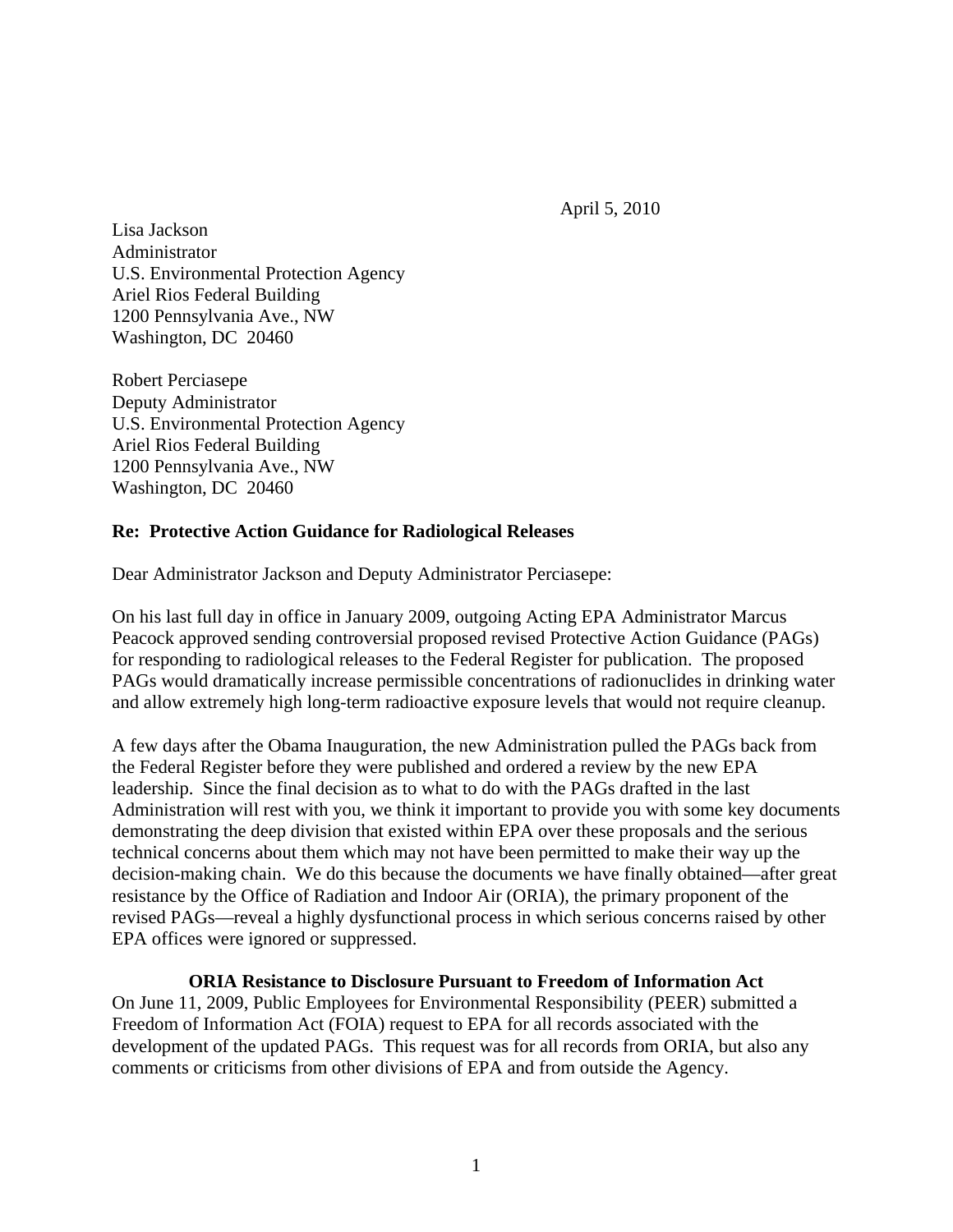April 5, 2010

Lisa Jackson Administrator U.S. Environmental Protection Agency Ariel Rios Federal Building 1200 Pennsylvania Ave., NW Washington, DC 20460

Robert Perciasepe Deputy Administrator U.S. Environmental Protection Agency Ariel Rios Federal Building 1200 Pennsylvania Ave., NW Washington, DC 20460

# **Re: Protective Action Guidance for Radiological Releases**

Dear Administrator Jackson and Deputy Administrator Perciasepe:

On his last full day in office in January 2009, outgoing Acting EPA Administrator Marcus Peacock approved sending controversial proposed revised Protective Action Guidance (PAGs) for responding to radiological releases to the Federal Register for publication. The proposed PAGs would dramatically increase permissible concentrations of radionuclides in drinking water and allow extremely high long-term radioactive exposure levels that would not require cleanup.

A few days after the Obama Inauguration, the new Administration pulled the PAGs back from the Federal Register before they were published and ordered a review by the new EPA leadership. Since the final decision as to what to do with the PAGs drafted in the last Administration will rest with you, we think it important to provide you with some key documents demonstrating the deep division that existed within EPA over these proposals and the serious technical concerns about them which may not have been permitted to make their way up the decision-making chain. We do this because the documents we have finally obtained—after great resistance by the Office of Radiation and Indoor Air (ORIA), the primary proponent of the revised PAGs—reveal a highly dysfunctional process in which serious concerns raised by other EPA offices were ignored or suppressed.

#### **ORIA Resistance to Disclosure Pursuant to Freedom of Information Act**

On June 11, 2009, Public Employees for Environmental Responsibility (PEER) submitted a Freedom of Information Act (FOIA) request to EPA for all records associated with the development of the updated PAGs. This request was for all records from ORIA, but also any comments or criticisms from other divisions of EPA and from outside the Agency.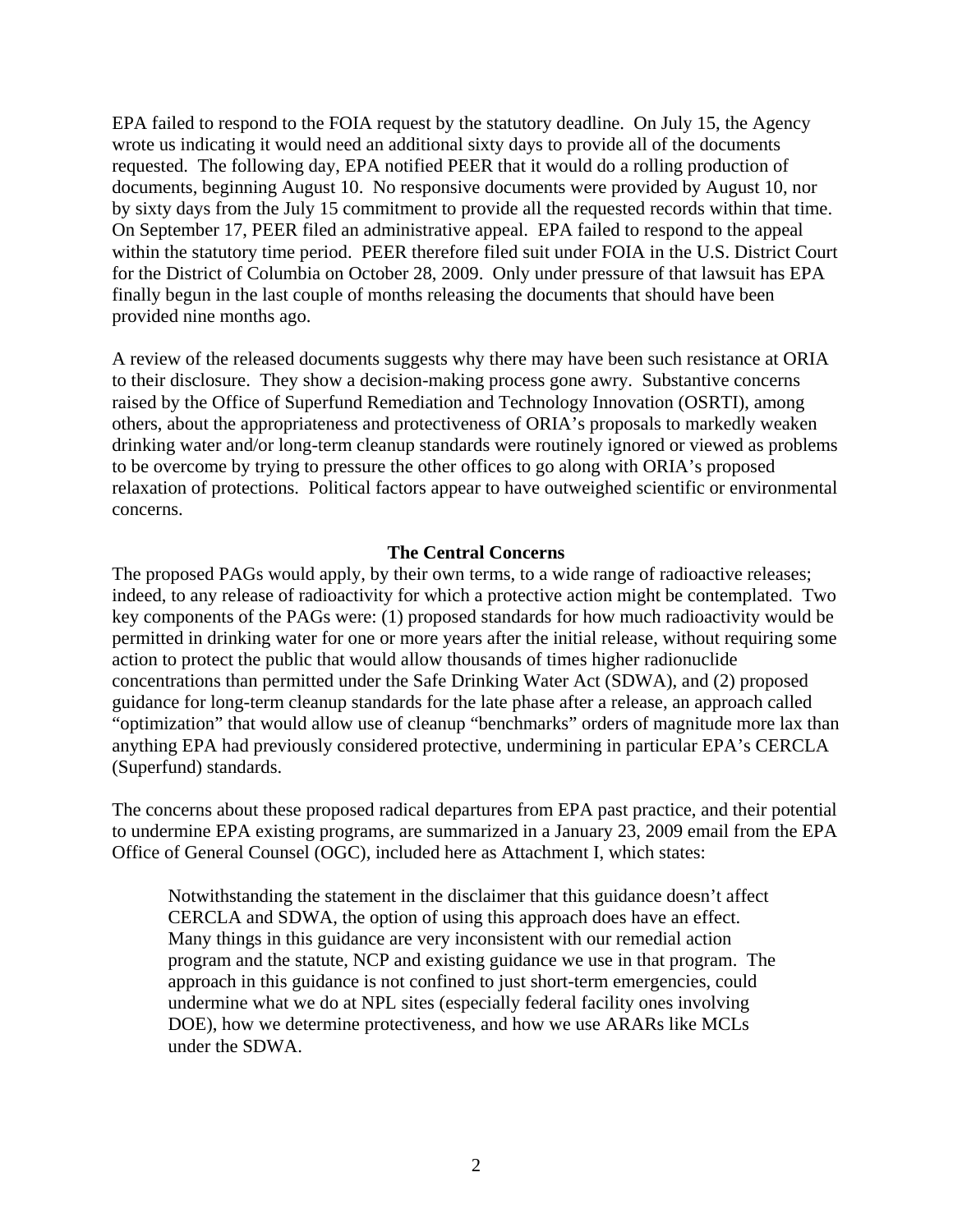EPA failed to respond to the FOIA request by the statutory deadline. On July 15, the Agency wrote us indicating it would need an additional sixty days to provide all of the documents requested. The following day, EPA notified PEER that it would do a rolling production of documents, beginning August 10. No responsive documents were provided by August 10, nor by sixty days from the July 15 commitment to provide all the requested records within that time. On September 17, PEER filed an administrative appeal. EPA failed to respond to the appeal within the statutory time period. PEER therefore filed suit under FOIA in the U.S. District Court for the District of Columbia on October 28, 2009. Only under pressure of that lawsuit has EPA finally begun in the last couple of months releasing the documents that should have been provided nine months ago.

A review of the released documents suggests why there may have been such resistance at ORIA to their disclosure. They show a decision-making process gone awry. Substantive concerns raised by the Office of Superfund Remediation and Technology Innovation (OSRTI), among others, about the appropriateness and protectiveness of ORIA's proposals to markedly weaken drinking water and/or long-term cleanup standards were routinely ignored or viewed as problems to be overcome by trying to pressure the other offices to go along with ORIA's proposed relaxation of protections. Political factors appear to have outweighed scientific or environmental concerns.

#### **The Central Concerns**

The proposed PAGs would apply, by their own terms, to a wide range of radioactive releases; indeed, to any release of radioactivity for which a protective action might be contemplated. Two key components of the PAGs were: (1) proposed standards for how much radioactivity would be permitted in drinking water for one or more years after the initial release, without requiring some action to protect the public that would allow thousands of times higher radionuclide concentrations than permitted under the Safe Drinking Water Act (SDWA), and (2) proposed guidance for long-term cleanup standards for the late phase after a release, an approach called "optimization" that would allow use of cleanup "benchmarks" orders of magnitude more lax than anything EPA had previously considered protective, undermining in particular EPA's CERCLA (Superfund) standards.

The concerns about these proposed radical departures from EPA past practice, and their potential to undermine EPA existing programs, are summarized in a January 23, 2009 email from the EPA Office of General Counsel (OGC), included here as Attachment I, which states:

Notwithstanding the statement in the disclaimer that this guidance doesn't affect CERCLA and SDWA, the option of using this approach does have an effect. Many things in this guidance are very inconsistent with our remedial action program and the statute, NCP and existing guidance we use in that program. The approach in this guidance is not confined to just short-term emergencies, could undermine what we do at NPL sites (especially federal facility ones involving DOE), how we determine protectiveness, and how we use ARARs like MCLs under the SDWA.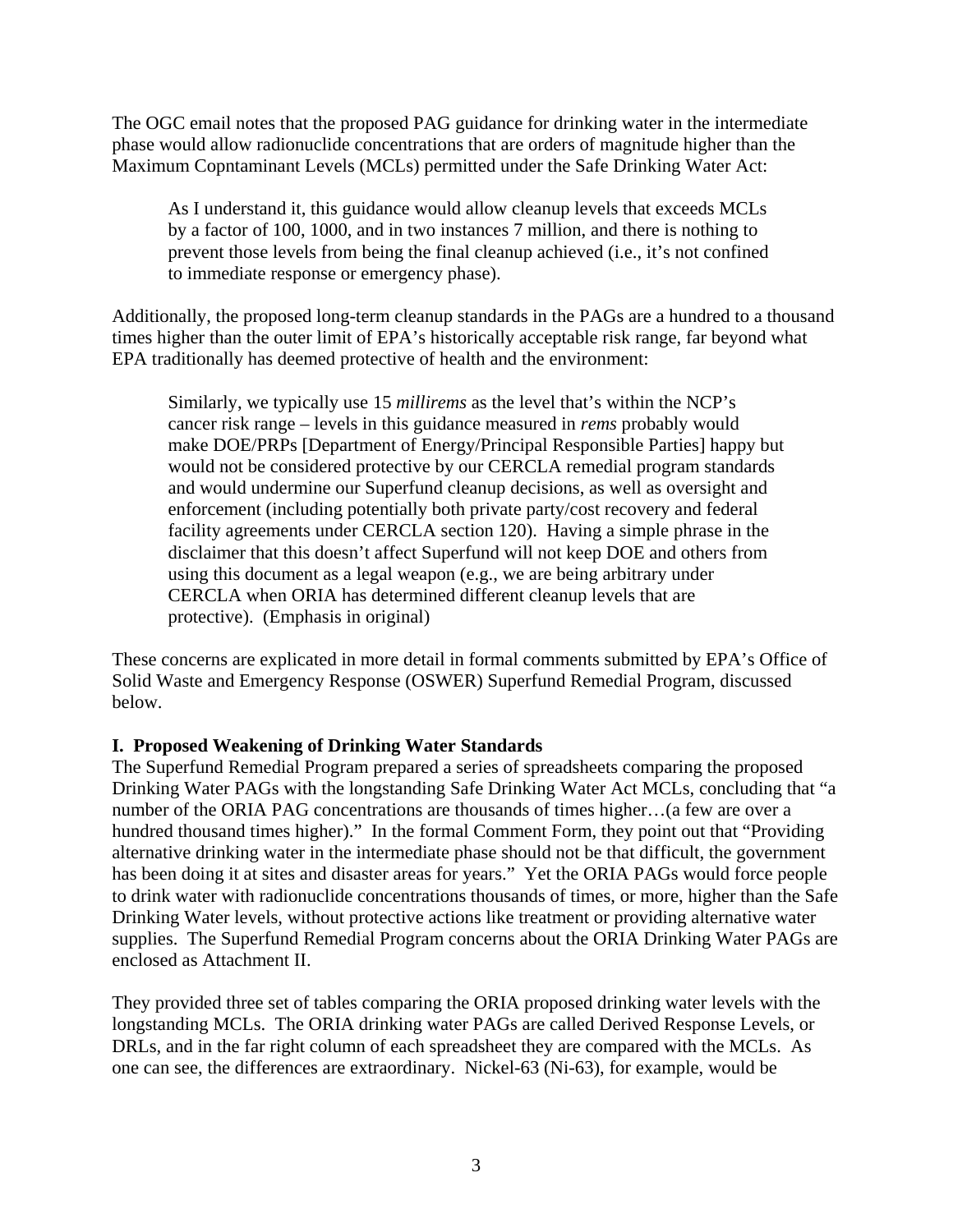The OGC email notes that the proposed PAG guidance for drinking water in the intermediate phase would allow radionuclide concentrations that are orders of magnitude higher than the Maximum Copntaminant Levels (MCLs) permitted under the Safe Drinking Water Act:

As I understand it, this guidance would allow cleanup levels that exceeds MCLs by a factor of 100, 1000, and in two instances 7 million, and there is nothing to prevent those levels from being the final cleanup achieved (i.e., it's not confined to immediate response or emergency phase).

Additionally, the proposed long-term cleanup standards in the PAGs are a hundred to a thousand times higher than the outer limit of EPA's historically acceptable risk range, far beyond what EPA traditionally has deemed protective of health and the environment:

Similarly, we typically use 15 *millirems* as the level that's within the NCP's cancer risk range – levels in this guidance measured in *rems* probably would make DOE/PRPs [Department of Energy/Principal Responsible Parties] happy but would not be considered protective by our CERCLA remedial program standards and would undermine our Superfund cleanup decisions, as well as oversight and enforcement (including potentially both private party/cost recovery and federal facility agreements under CERCLA section 120). Having a simple phrase in the disclaimer that this doesn't affect Superfund will not keep DOE and others from using this document as a legal weapon (e.g., we are being arbitrary under CERCLA when ORIA has determined different cleanup levels that are protective). (Emphasis in original)

These concerns are explicated in more detail in formal comments submitted by EPA's Office of Solid Waste and Emergency Response (OSWER) Superfund Remedial Program, discussed below.

# **I. Proposed Weakening of Drinking Water Standards**

The Superfund Remedial Program prepared a series of spreadsheets comparing the proposed Drinking Water PAGs with the longstanding Safe Drinking Water Act MCLs, concluding that "a number of the ORIA PAG concentrations are thousands of times higher…(a few are over a hundred thousand times higher)." In the formal Comment Form, they point out that "Providing alternative drinking water in the intermediate phase should not be that difficult, the government has been doing it at sites and disaster areas for years." Yet the ORIA PAGs would force people to drink water with radionuclide concentrations thousands of times, or more, higher than the Safe Drinking Water levels, without protective actions like treatment or providing alternative water supplies. The Superfund Remedial Program concerns about the ORIA Drinking Water PAGs are enclosed as Attachment II.

They provided three set of tables comparing the ORIA proposed drinking water levels with the longstanding MCLs. The ORIA drinking water PAGs are called Derived Response Levels, or DRLs, and in the far right column of each spreadsheet they are compared with the MCLs. As one can see, the differences are extraordinary. Nickel-63 (Ni-63), for example, would be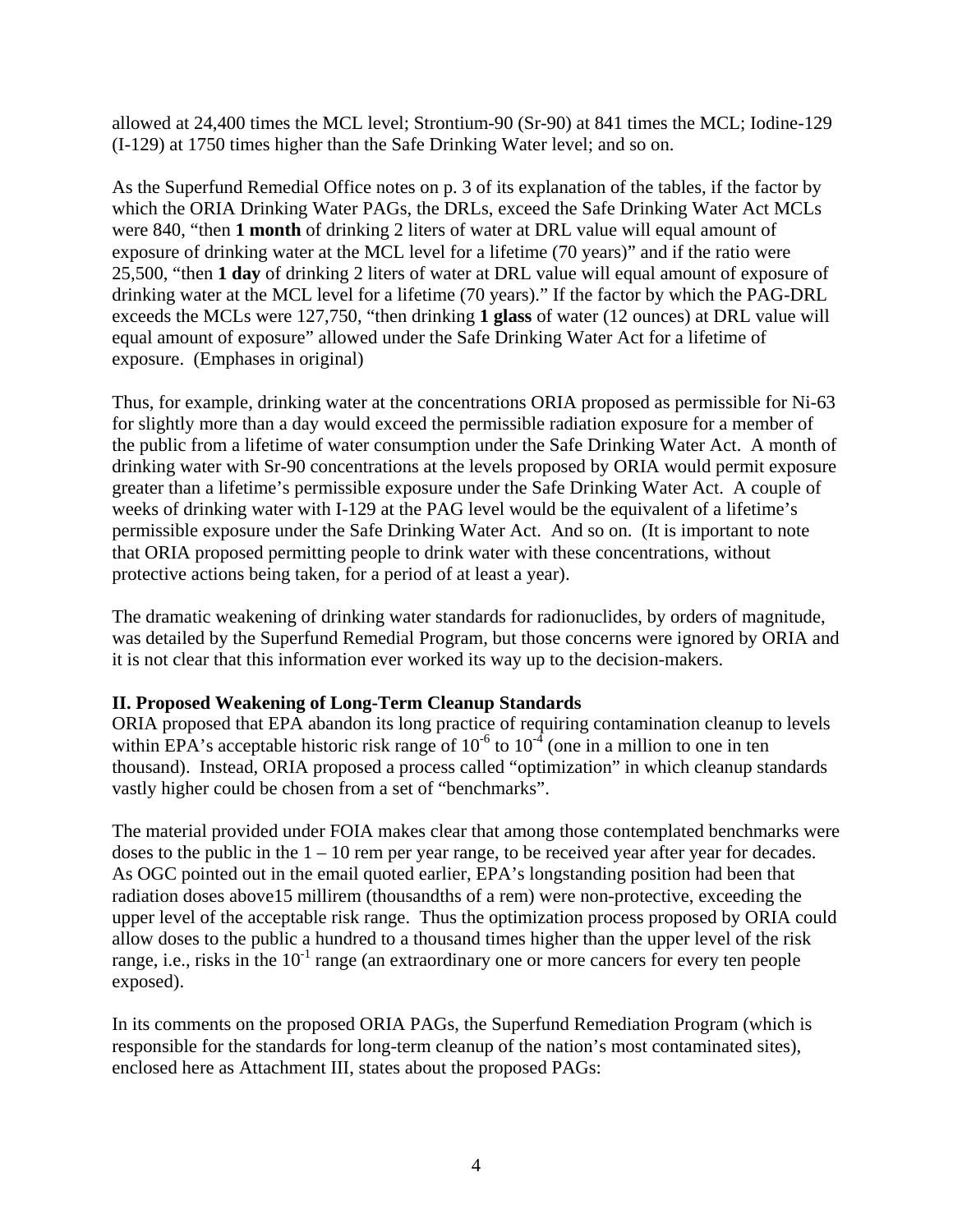allowed at 24,400 times the MCL level; Strontium-90 (Sr-90) at 841 times the MCL; Iodine-129 (I-129) at 1750 times higher than the Safe Drinking Water level; and so on.

As the Superfund Remedial Office notes on p. 3 of its explanation of the tables, if the factor by which the ORIA Drinking Water PAGs, the DRLs, exceed the Safe Drinking Water Act MCLs were 840, "then **1 month** of drinking 2 liters of water at DRL value will equal amount of exposure of drinking water at the MCL level for a lifetime (70 years)" and if the ratio were 25,500, "then **1 day** of drinking 2 liters of water at DRL value will equal amount of exposure of drinking water at the MCL level for a lifetime (70 years)." If the factor by which the PAG-DRL exceeds the MCLs were 127,750, "then drinking **1 glass** of water (12 ounces) at DRL value will equal amount of exposure" allowed under the Safe Drinking Water Act for a lifetime of exposure. (Emphases in original)

Thus, for example, drinking water at the concentrations ORIA proposed as permissible for Ni-63 for slightly more than a day would exceed the permissible radiation exposure for a member of the public from a lifetime of water consumption under the Safe Drinking Water Act. A month of drinking water with Sr-90 concentrations at the levels proposed by ORIA would permit exposure greater than a lifetime's permissible exposure under the Safe Drinking Water Act. A couple of weeks of drinking water with I-129 at the PAG level would be the equivalent of a lifetime's permissible exposure under the Safe Drinking Water Act. And so on. (It is important to note that ORIA proposed permitting people to drink water with these concentrations, without protective actions being taken, for a period of at least a year).

The dramatic weakening of drinking water standards for radionuclides, by orders of magnitude, was detailed by the Superfund Remedial Program, but those concerns were ignored by ORIA and it is not clear that this information ever worked its way up to the decision-makers.

# **II. Proposed Weakening of Long-Term Cleanup Standards**

ORIA proposed that EPA abandon its long practice of requiring contamination cleanup to levels within EPA's acceptable historic risk range of  $10^{-6}$  to  $10^{-4}$  (one in a million to one in ten thousand). Instead, ORIA proposed a process called "optimization" in which cleanup standards vastly higher could be chosen from a set of "benchmarks".

The material provided under FOIA makes clear that among those contemplated benchmarks were doses to the public in the  $1 - 10$  rem per year range, to be received year after year for decades. As OGC pointed out in the email quoted earlier, EPA's longstanding position had been that radiation doses above15 millirem (thousandths of a rem) were non-protective, exceeding the upper level of the acceptable risk range. Thus the optimization process proposed by ORIA could allow doses to the public a hundred to a thousand times higher than the upper level of the risk range, i.e., risks in the  $10^{-1}$  range (an extraordinary one or more cancers for every ten people exposed).

In its comments on the proposed ORIA PAGs, the Superfund Remediation Program (which is responsible for the standards for long-term cleanup of the nation's most contaminated sites), enclosed here as Attachment III, states about the proposed PAGs: